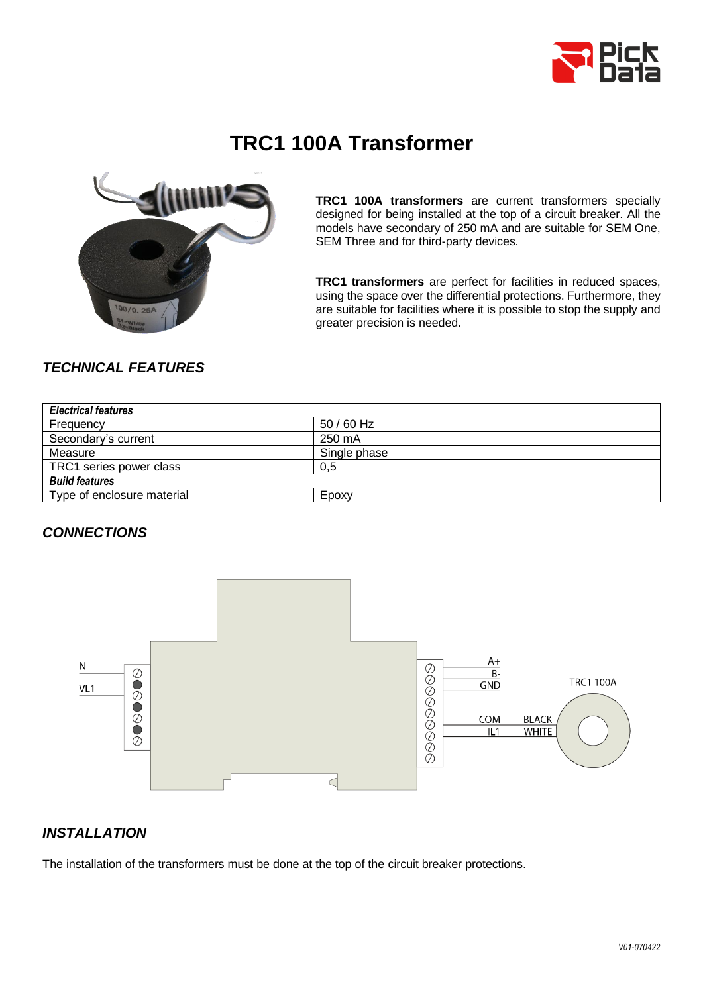

# **TRC1 100A Transformer**



**TRC1 100A transformers** are current transformers specially designed for being installed at the top of a circuit breaker. All the models have secondary of 250 mA and are suitable for SEM One, SEM Three and for third-party devices.

**TRC1 transformers** are perfect for facilities in reduced spaces, using the space over the differential protections. Furthermore, they are suitable for facilities where it is possible to stop the supply and greater precision is needed.

# *TECHNICAL FEATURES*

| <b>Electrical features</b> |              |  |  |
|----------------------------|--------------|--|--|
| Frequency                  | $50/60$ Hz   |  |  |
| Secondary's current        | 250 mA       |  |  |
| Measure                    | Single phase |  |  |
| TRC1 series power class    | 0,5          |  |  |
| <b>Build features</b>      |              |  |  |
| Type of enclosure material | Epoxy        |  |  |

#### *CONNECTIONS*



# *INSTALLATION*

The installation of the transformers must be done at the top of the circuit breaker protections.